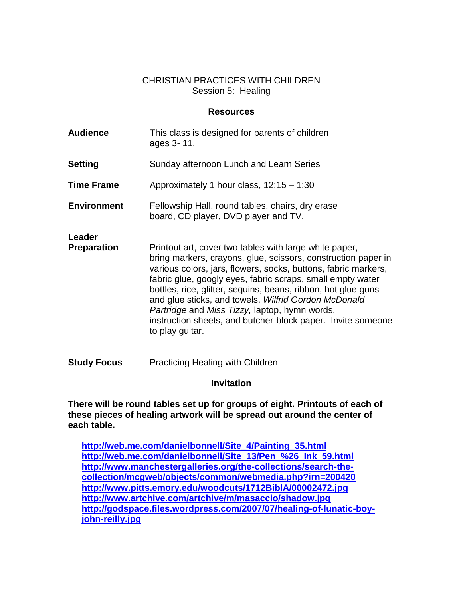#### CHRISTIAN PRACTICES WITH CHILDREN Session 5: Healing

#### **Resources**

| <b>Audience</b>              | This class is designed for parents of children<br>ages 3-11.                                                                                                                                                                                                                                                                                                                                                                                                                                                        |
|------------------------------|---------------------------------------------------------------------------------------------------------------------------------------------------------------------------------------------------------------------------------------------------------------------------------------------------------------------------------------------------------------------------------------------------------------------------------------------------------------------------------------------------------------------|
| Setting                      | Sunday afternoon Lunch and Learn Series                                                                                                                                                                                                                                                                                                                                                                                                                                                                             |
| <b>Time Frame</b>            | Approximately 1 hour class, 12:15 - 1:30                                                                                                                                                                                                                                                                                                                                                                                                                                                                            |
| <b>Environment</b>           | Fellowship Hall, round tables, chairs, dry erase<br>board, CD player, DVD player and TV.                                                                                                                                                                                                                                                                                                                                                                                                                            |
| Leader<br><b>Preparation</b> | Printout art, cover two tables with large white paper,<br>bring markers, crayons, glue, scissors, construction paper in<br>various colors, jars, flowers, socks, buttons, fabric markers,<br>fabric glue, googly eyes, fabric scraps, small empty water<br>bottles, rice, glitter, sequins, beans, ribbon, hot glue guns<br>and glue sticks, and towels, Wilfrid Gordon McDonald<br>Partridge and Miss Tizzy, laptop, hymn words,<br>instruction sheets, and butcher-block paper. Invite someone<br>to play guitar. |
| <b>Study Focus</b>           | <b>Practicing Healing with Children</b>                                                                                                                                                                                                                                                                                                                                                                                                                                                                             |

#### **Invitation**

**There will be round tables set up for groups of eight. Printouts of each of these pieces of healing artwork will be spread out around the center of each table.**

**[http://web.me.com/danielbonnell/Site\\_4/Painting\\_35.html](http://web.me.com/danielbonnell/Site_4/Painting_35.html) [http://web.me.com/danielbonnell/Site\\_13/Pen\\_%26\\_Ink\\_59.html](http://web.me.com/danielbonnell/Site_13/Pen_%26_Ink_59.html) [http://www.manchestergalleries.org/the-collections/search-the](http://www.manchestergalleries.org/the-collections/search-the-collection/mcgweb/objects/common/webmedia.php?irn=200420)[collection/mcgweb/objects/common/webmedia.php?irn=200420](http://www.manchestergalleries.org/the-collections/search-the-collection/mcgweb/objects/common/webmedia.php?irn=200420) <http://www.pitts.emory.edu/woodcuts/1712BiblA/00002472.jpg> <http://www.artchive.com/artchive/m/masaccio/shadow.jpg> [http://godspace.files.wordpress.com/2007/07/healing-of-lunatic-boy](http://godspace.files.wordpress.com/2007/07/healing-of-lunatic-boy-john-reilly.jpg)[john-reilly.jpg](http://godspace.files.wordpress.com/2007/07/healing-of-lunatic-boy-john-reilly.jpg)**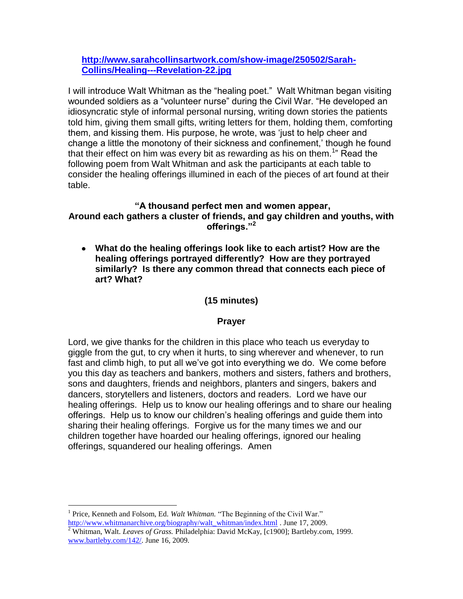### **[http://www.sarahcollinsartwork.com/show-image/250502/Sarah-](http://www.sarahcollinsartwork.com/show-image/250502/Sarah-Collins/Healing---Revelation-22.jpg)[Collins/Healing---Revelation-22.jpg](http://www.sarahcollinsartwork.com/show-image/250502/Sarah-Collins/Healing---Revelation-22.jpg)**

I will introduce Walt Whitman as the "healing poet." Walt Whitman began visiting wounded soldiers as a "volunteer nurse" during the Civil War. "He developed an idiosyncratic style of informal personal nursing, writing down stories the patients told him, giving them small gifts, writing letters for them, holding them, comforting them, and kissing them. His purpose, he wrote, was "just to help cheer and change a little the monotony of their sickness and confinement,' though he found that their effect on him was every bit as rewarding as his on them.<sup>1</sup>" Read the following poem from Walt Whitman and ask the participants at each table to consider the healing offerings illumined in each of the pieces of art found at their table.

### **"A thousand perfect men and women appear, Around each gathers a cluster of friends, and gay children and youths, with offerings."<sup>2</sup>**

**What do the healing offerings look like to each artist? How are the healing offerings portrayed differently? How are they portrayed similarly? Is there any common thread that connects each piece of art? What?**

### **(15 minutes)**

#### **Prayer**

Lord, we give thanks for the children in this place who teach us everyday to giggle from the gut, to cry when it hurts, to sing wherever and whenever, to run fast and climb high, to put all we"ve got into everything we do. We come before you this day as teachers and bankers, mothers and sisters, fathers and brothers, sons and daughters, friends and neighbors, planters and singers, bakers and dancers, storytellers and listeners, doctors and readers. Lord we have our healing offerings. Help us to know our healing offerings and to share our healing offerings. Help us to know our children"s healing offerings and guide them into sharing their healing offerings. Forgive us for the many times we and our children together have hoarded our healing offerings, ignored our healing offerings, squandered our healing offerings. Amen

 $\overline{a}$ 

<sup>&</sup>lt;sup>1</sup> Price, Kenneth and Folsom, Ed. *Walt Whitman*. "The Beginning of the Civil War." [http://www.whitmanarchive.org/biography/walt\\_whitman/index.html](http://www.whitmanarchive.org/biography/walt_whitman/index.html) . June 17, 2009.

<sup>2</sup> Whitman, Walt. *Leaves of Grass.* Philadelphia: David McKay, [c1900]; Bartleby.com, 1999. [www.bartleby.com/142/.](http://www.bartleby.com/142/) June 16, 2009.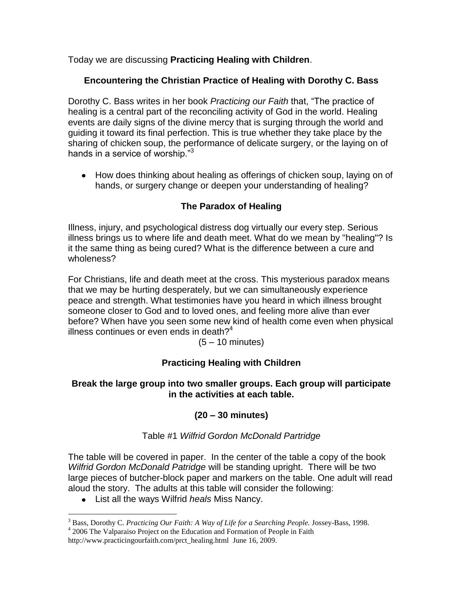Today we are discussing **Practicing Healing with Children**.

## **Encountering the Christian Practice of Healing with Dorothy C. Bass**

Dorothy C. Bass writes in her book *Practicing our Faith* that, "The practice of healing is a central part of the reconciling activity of God in the world. Healing events are daily signs of the divine mercy that is surging through the world and guiding it toward its final perfection. This is true whether they take place by the sharing of chicken soup, the performance of delicate surgery, or the laying on of hands in a service of worship."<sup>3</sup>

• How does thinking about healing as offerings of chicken soup, laying on of hands, or surgery change or deepen your understanding of healing?

## **The Paradox of Healing**

Illness, injury, and psychological distress dog virtually our every step. Serious illness brings us to where life and death meet. What do we mean by "healing"? Is it the same thing as being cured? What is the difference between a cure and wholeness?

For Christians, life and death meet at the cross. This mysterious paradox means that we may be hurting desperately, but we can simultaneously experience peace and strength. What testimonies have you heard in which illness brought someone closer to God and to loved ones, and feeling more alive than ever before? When have you seen some new kind of health come even when physical illness continues or even ends in death? $4$ 

(5 – 10 minutes)

## **Practicing Healing with Children**

### **Break the large group into two smaller groups. Each group will participate in the activities at each table.**

## **(20 – 30 minutes)**

### Table #1 *Wilfrid Gordon McDonald Partridge*

The table will be covered in paper. In the center of the table a copy of the book *Wilfrid Gordon McDonald Patridge* will be standing upright. There will be two large pieces of butcher-block paper and markers on the table. One adult will read aloud the story. The adults at this table will consider the following:

List all the ways Wilfrid *heals* Miss Nancy.

 $\overline{a}$ <sup>3</sup> Bass, Dorothy C. *Practicing Our Faith: A Way of Life for a Searching People.* Jossey-Bass, 1998. <sup>4</sup> 2006 The Valparaiso Project on the Education and Formation of People in Faith

http://www.practicingourfaith.com/prct\_healing.html\_June 16, 2009.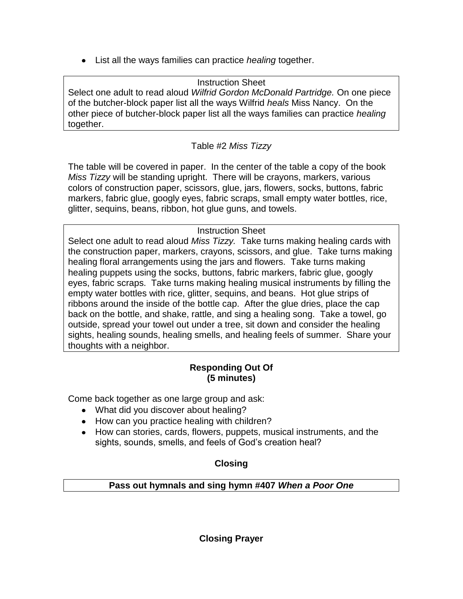List all the ways families can practice *healing* together.

Instruction Sheet Select one adult to read aloud *Wilfrid Gordon McDonald Partridge.* On one piece of the butcher-block paper list all the ways Wilfrid *heals* Miss Nancy. On the other piece of butcher-block paper list all the ways families can practice *healing* together.

# Table #2 *Miss Tizzy*

The table will be covered in paper. In the center of the table a copy of the book *Miss Tizzy* will be standing upright. There will be crayons, markers, various colors of construction paper, scissors, glue, jars, flowers, socks, buttons, fabric markers, fabric glue, googly eyes, fabric scraps, small empty water bottles, rice, glitter, sequins, beans, ribbon, hot glue guns, and towels.

## Instruction Sheet

Select one adult to read aloud *Miss Tizzy.* Take turns making healing cards with the construction paper, markers, crayons, scissors, and glue. Take turns making healing floral arrangements using the jars and flowers. Take turns making healing puppets using the socks, buttons, fabric markers, fabric glue, googly eyes, fabric scraps. Take turns making healing musical instruments by filling the empty water bottles with rice, glitter, sequins, and beans. Hot glue strips of ribbons around the inside of the bottle cap. After the glue dries, place the cap back on the bottle, and shake, rattle, and sing a healing song. Take a towel, go outside, spread your towel out under a tree, sit down and consider the healing sights, healing sounds, healing smells, and healing feels of summer. Share your thoughts with a neighbor.

## **Responding Out Of (5 minutes)**

Come back together as one large group and ask:

- What did you discover about healing?
- How can you practice healing with children?
- How can stories, cards, flowers, puppets, musical instruments, and the sights, sounds, smells, and feels of God's creation heal?

## **Closing**

**Pass out hymnals and sing hymn #407** *When a Poor One*